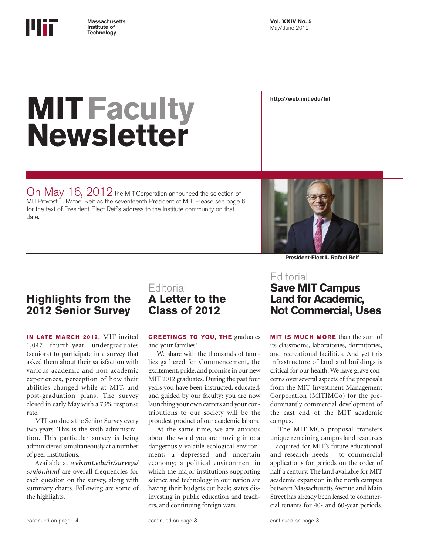

**http://web.mit.edu/fnl**

# **MITFaculty Newsletter**

On May  $16$ ,  $2012$  the MIT Corporation announced the selection of MIT Provost L. Rafael Reif as the seventeenth President of MIT. Please see page 6 for the text of President-Elect Reif's address to the Institute community on that date.



**President-Elect L. Rafael Reif**

# **Highlights from the 2012 Senior Survey**

**IN LATE MARCH 2012, MIT invited** 1,047 fourth-year undergraduates (seniors) to participate in a survey that asked them about their satisfaction with various academic and non-academic experiences, perception of how their abilities changed while at MIT, and post-graduation plans. The survey closed in early May with a 73% response rate.

MIT conducts the Senior Survey every two years. This is the sixth administration. This particular survey is being administered simultaneously at a number of peer institutions.

Available at *web.mit.edu/ir/surveys/ senior.html* are overall frequencies for each question on the survey, along with summary charts. Following are some of the highlights.

# **Editorial A Letter to the Class of 2012**

**GREETINGS TO YOU, THE graduates** and your families!

We share with the thousands of families gathered for Commencement, the excitement, pride, and promise in our new MIT 2012 graduates. During the past four years you have been instructed, educated, and guided by our faculty; you are now launching your own careers and your contributions to our society will be the proudest product of our academic labors.

At the same time, we are anxious about the world you are moving into: a dangerously volatile ecological environment; a depressed and uncertain economy; a political environment in which the major institutions supporting science and technology in our nation are having their budgets cut back; states disinvesting in public education and teachers, and continuing foreign wars.

### Editorial **Save MIT Campus Land for Academic, Not Commercial, Uses**

**MIT IS MUCH MORE** than the sum of its classrooms, laboratories, dormitories, and recreational facilities. And yet this infrastructure of land and buildings is critical for our health. We have grave concerns over several aspects of the proposals from the MIT Investment Management Corporation (MITIMCo) for the predominantly commercial development of the east end of the MIT academic campus.

The MITIMCo proposal transfers unique remaining campus land resources – acquired for MIT's future educational and research needs – to commercial applications for periods on the order of half a century. The land available for MIT academic expansion in the north campus between Massachusetts Avenue and Main Street has already been leased to commercial tenants for 40- and 60-year periods.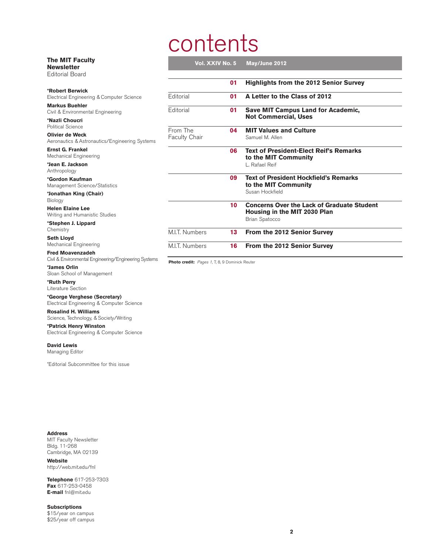# contents

| <b>The MIT Faculty</b><br><b>Newsletter</b><br><b>Editorial Board</b>           | Vol. XXIV No. 5                  |    | May/June 2012                                                                     |
|---------------------------------------------------------------------------------|----------------------------------|----|-----------------------------------------------------------------------------------|
|                                                                                 |                                  | 01 | <b>Highlights from the 2012 Senior Survey</b>                                     |
| <b>*Robert Berwick</b><br>Electrical Engineering & Computer Science             | Editorial                        | 01 | A Letter to the Class of 2012                                                     |
| <b>Markus Buehler</b><br>Civil & Environmental Engineering                      | Editorial                        | 01 | <b>Save MIT Campus Land for Academic,</b>                                         |
| *Nazli Choucri<br>Political Science                                             |                                  |    | <b>Not Commercial, Uses</b>                                                       |
| <b>Olivier de Weck</b><br>Aeronautics & Astronautics/Engineering Systems        | From The<br><b>Faculty Chair</b> | 04 | <b>MIT Values and Culture</b><br>Samuel M. Allen                                  |
| <b>Ernst G. Frankel</b><br>Mechanical Engineering                               |                                  | 06 | <b>Text of President-Elect Reif's Remarks</b><br>to the MIT Community             |
| *Jean E. Jackson<br>Anthropology                                                |                                  |    | L. Rafael Reif                                                                    |
| *Gordon Kaufman<br>Management Science/Statistics                                |                                  | 09 | <b>Text of President Hockfield's Remarks</b><br>to the MIT Community              |
| *Jonathan King (Chair)<br>Biology                                               |                                  |    | Susan Hockfield                                                                   |
| <b>Helen Elaine Lee</b><br>Writing and Humanistic Studies                       |                                  | 10 | <b>Concerns Over the Lack of Graduate Student</b><br>Housing in the MIT 2030 Plan |
| *Stephen J. Lippard<br>Chemistry                                                |                                  |    | <b>Brian Spatocco</b>                                                             |
| <b>Seth Lloyd</b><br>Mechanical Engineering                                     | M.I.T. Numbers                   | 13 | From the 2012 Senior Survey                                                       |
| <b>Fred Moavenzadeh</b><br>Chil & Environmental Engineering/Engineering Systems | M.I.T. Numbers                   | 16 | From the 2012 Senior Survey                                                       |

Civil & Environmental Engineering/Engineering Systems

**\*James Orlin** Sloan School of Management

**\*Ruth Perry** Literature Section

**\*George Verghese (Secretary)** Electrical Engineering & Computer Science

**Rosalind H. Williams**

Science, Technology, & Society/Writing

**\*Patrick Henry Winston** Electrical Engineering & Computer Science

**David Lewis**

Managing Editor

\*Editorial Subcommittee for this issue

**Address** MIT Faculty Newsletter Bldg. 11-268 Cambridge, MA 02139

**Website** http://web.mit.edu/fnl

**Telephone** 617-253-7303 **Fax** 617-253-0458 **E-mail** fnl@mit.edu

**Subscriptions** \$15/year on campus \$25/year off campus Photo credit: Pages 1, 7, 8, 9 Dominick Reuter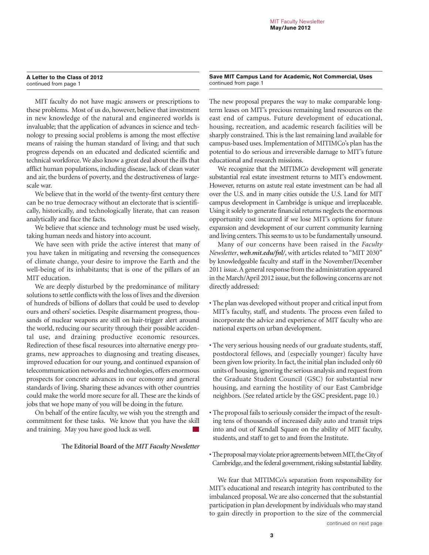#### **A Letter to the Class of 2012** continued from page 1

MIT faculty do not have magic answers or prescriptions to these problems. Most of us do, however, believe that investment in new knowledge of the natural and engineered worlds is invaluable; that the application of advances in science and technology to pressing social problems is among the most effective means of raising the human standard of living; and that such progress depends on an educated and dedicated scientific and technical workforce. We also know a great deal about the ills that afflict human populations, including disease, lack of clean water and air, the burdens of poverty, and the destructiveness of largescale war.

We believe that in the world of the twenty-first century there can be no true democracy without an electorate that is scientifically, historically, and technologically literate, that can reason analytically and face the facts.

We believe that science and technology must be used wisely, taking human needs and history into account.

We have seen with pride the active interest that many of you have taken in mitigating and reversing the consequences of climate change, your desire to improve the Earth and the well-being of its inhabitants; that is one of the pillars of an MIT education.

We are deeply disturbed by the predominance of military solutions to settle conflicts with the loss of lives and the diversion of hundreds of billions of dollars that could be used to develop ours and others' societies. Despite disarmament progress, thousands of nuclear weapons are still on hair-trigger alert around the world, reducing our security through their possible accidental use, and draining productive economic resources. Redirection of these fiscal resources into alternative energy programs, new approaches to diagnosing and treating diseases, improved education for our young, and continued expansion of telecommunication networks and technologies, offers enormous prospects for concrete advances in our economy and general standards of living. Sharing these advances with other countries could make the world more secure for all. These are the kinds of jobs that we hope many of you will be doing in the future.

On behalf of the entire faculty, we wish you the strength and commitment for these tasks. We know that you have the skill and training. May you have good luck as well.  $\mathcal{L}_{\mathcal{A}}$ 

#### **The Editorial Board of the** *MIT Faculty Newsletter*

**Save MIT Campus Land for Academic, Not Commercial, Uses** continued from page 1

The new proposal prepares the way to make comparable longterm leases on MIT's precious remaining land resources on the east end of campus. Future development of educational, housing, recreation, and academic research facilities will be sharply constrained. This is the last remaining land available for campus-based uses. Implementation of MITIMCo's plan has the potential to do serious and irreversible damage to MIT's future educational and research missions.

We recognize that the MITIMCo development will generate substantial real estate investment returns to MIT's endowment. However, returns on astute real estate investment can be had all over the U.S. and in many cities outside the U.S. Land for MIT campus development in Cambridge is unique and irreplaceable. Using it solely to generate financial returns neglects the enormous opportunity cost incurred if we lose MIT's options for future expansion and development of our current community learning and living centers. This seems to us to be fundamentally unsound.

Many of our concerns have been raised in the *Faculty Newsletter*, *web.mit.edu/fnl/*, with articles related to "MIT 2030" by knowledgeable faculty and staff in the November/December 2011 issue. A general response from the administration appeared in the March/April 2012 issue, but the following concerns are not directly addressed:

- The plan was developed without proper and critical input from MIT's faculty, staff, and students. The process even failed to incorporate the advice and experience of MIT faculty who are national experts on urban development.
- The very serious housing needs of our graduate students, staff, postdoctoral fellows, and (especially younger) faculty have been given low priority. In fact, the initial plan included only 60 units of housing, ignoring the serious analysis and request from the Graduate Student Council (GSC) for substantial new housing, and earning the hostility of our East Cambridge neighbors. (See related article by the GSC president, page 10.)
- The proposal fails to seriously consider the impact of the resulting tens of thousands of increased daily auto and transit trips into and out of Kendall Square on the ability of MIT faculty, students, and staff to get to and from the Institute.
- The proposal may violate prior agreements between MIT, the City of Cambridge, and the federal government, risking substantial liability.

We fear that MITIMCo's separation from responsibility for MIT's educational and research integrity has contributed to the imbalanced proposal. We are also concerned that the substantial participation in plan development by individuals who may stand to gain directly in proportion to the size of the commercial

continued on next page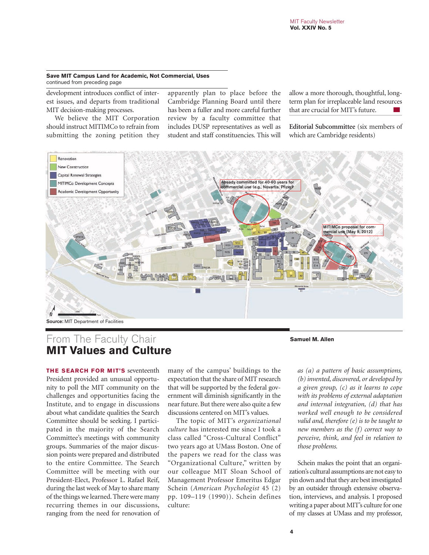#### **Save MIT Campus Land for Academic, Not Commercial, Uses** continued from preceding page

development introduces conflict of interest issues, and departs from traditional MIT decision-making processes.

We believe the MIT Corporation should instruct MITIMCo to refrain from submitting the zoning petition they

apparently plan to place before the Cambridge Planning Board until there has been a fuller and more careful further review by a faculty committee that includes DUSP representatives as well as student and staff constituencies. This will

allow a more thorough, thoughtful, longterm plan for irreplaceable land resources that are crucial for MIT's future.

**Editorial Subcommittee** (six members of which are Cambridge residents)



# From The Faculty Chair **Samuel M. Allen MIT Values and Culture**

**THE SEARCH FOR MIT'S** seventeenth President provided an unusual opportunity to poll the MIT community on the challenges and opportunities facing the Institute, and to engage in discussions about what candidate qualities the Search Committee should be seeking. I participated in the majority of the Search Committee's meetings with community groups. Summaries of the major discussion points were prepared and distributed to the entire Committee. The Search Committee will be meeting with our President-Elect, Professor L. Rafael Reif, during the last week of May to share many of the things we learned. There were many recurring themes in our discussions, ranging from the need for renovation of

many of the campus' buildings to the expectation that the share of MIT research that will be supported by the federal government will diminish significantly in the near future. But there were also quite a few discussions centered on MIT's values.

The topic of MIT's *organizational culture* has interested me since I took a class called "Cross-Cultural Conflict" two years ago at UMass Boston. One of the papers we read for the class was "Organizational Culture," written by our colleague MIT Sloan School of Management Professor Emeritus Edgar Schein (*American Psychologist* 45 (2) pp. 109–119 (1990)). Schein defines culture:

*as (a) a pattern of basic assumptions, (b) invented, discovered, or developed by a given group, (c) as it learns to cope with its problems of external adaptation and internal integration, (d) that has worked well enough to be considered valid and, therefore (e) is to be taught to new members as the (f) correct way to perceive, think, and feel in relation to those problems.*

Schein makes the point that an organization's cultural assumptions are not easy to pin down and that they are best investigated by an outsider through extensive observation, interviews, and analysis. I proposed writing a paper about MIT's culture for one of my classes at UMass and my professor,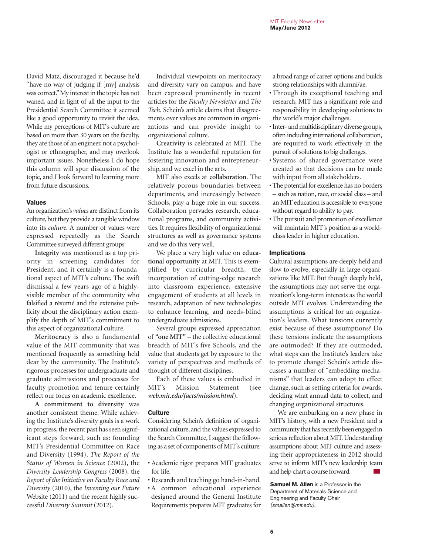David Matz, discouraged it because he'd "have no way of judging if [my] analysis was correct." My interest in the topic has not waned, and in light of all the input to the Presidential Search Committee it seemed like a good opportunity to revisit the idea. While my perceptions of MIT's culture are based on more than 30 years on the faculty, they are those of an engineer, not a psychologist or ethnographer, and may overlook important issues. Nonetheless I do hope this column will spur discussion of the topic, and I look forward to learning more from future discussions.

#### **Values**

An organization's *values* are distinct from its culture, but they provide a tangible window into its *culture*. A number of values were expressed repeatedly as the Search Committee surveyed different groups:

**Integrity** was mentioned as a top priority in screening candidates for President, and it certainly is a foundational aspect of MIT's culture. The swift dismissal a few years ago of a highlyvisible member of the community who falsified a résumé and the extensive publicity about the disciplinary action exemplify the depth of MIT's commitment to this aspect of organizational culture.

**Meritocracy** is also a fundamental value of the MIT community that was mentioned frequently as something held dear by the community. The Institute's rigorous processes for undergraduate and graduate admissions and processes for faculty promotion and tenure certainly reflect our focus on academic excellence.

**A commitment to diversity** was another consistent theme. While achieving the Institute's diversity goals is a work in progress, the recent past has seen significant steps forward, such as: founding MIT's Presidential Committee on Race and Diversity (1994), *The Report of the Status of Women in Science* (2002), the *Diversity Leadership Congress* (2008), the *Report of the Initiative on Faculty Race and Diversity* (2010), the *Inventing our Future* Website (2011) and the recent highly successful *Diversity Summit* (2012).

Individual viewpoints on meritocracy and diversity vary on campus, and have been expressed prominently in recent articles for the *Faculty Newsletter* and *The Tech*. Schein's article claims that disagreements over values are common in organizations and can provide insight to organizational culture.

**Creativity** is celebrated at MIT. The Institute has a wonderful reputation for fostering innovation and entrepreneurship, and we excel in the arts.

MIT also excels at **collaboration**. The relatively porous boundaries between departments, and increasingly between Schools, play a huge role in our success. Collaboration pervades research, educational programs, and community activities. It requires flexibility of organizational structures as well as governance systems and we do this very well.

We place a very high value on **educational opportunity** at MIT. This is exemplified by curricular breadth, the incorporation of cutting-edge research into classroom experience, extensive engagement of students at all levels in research, adaptation of new technologies to enhance learning, and needs-blind undergraduate admissions.

Several groups expressed appreciation of **"one MIT"** – the collective educational breadth of MIT's five Schools, and the value that students get by exposure to the variety of perspectives and methods of thought of different disciplines.

Each of these values is embodied in MIT's Mission Statement (see *web.mit.edu/facts/mission.html*).

#### **Culture**

Considering Schein's definition of organizational culture, and the values expressed to the Search Committee, I suggest the following as a set of components of MIT's culture:

- Academic rigor prepares MIT graduates for life.
- Research and teaching go hand-in-hand.
- A common educational experience designed around the General Institute Requirements prepares MIT graduates for

a broad range of career options and builds strong relationships with alumni/ae.

- Through its exceptional teaching and research, MIT has a significant role and responsibility in developing solutions to the world's major challenges.
- Inter- and multidisciplinary diverse groups, often including international collaboration, are required to work effectively in the pursuit of solutions to big challenges.
- Systems of shared governance were created so that decisions can be made with input from all stakeholders.
- The potential for excellence has no borders – such as nation, race, or social class – and an MIT education is accessible to everyone without regard to ability to pay.
- The pursuit and promotion of excellence will maintain MIT's position as a worldclass leader in higher education.

#### **Implications**

Cultural assumptions are deeply held and slow to evolve, especially in large organizations like MIT. But though deeply held, the assumptions may not serve the organization's long-term interests as the world outside MIT evolves. Understanding the assumptions is critical for an organization's leaders. What tensions currently exist because of these assumptions? Do these tensions indicate the assumptions are outmoded? If they are outmoded, what steps can the Institute's leaders take to promote change? Schein's article discusses a number of "embedding mechanisms" that leaders can adopt to effect change, such as setting criteria for awards, deciding what annual data to collect, and changing organizational structures.

We are embarking on a new phase in MIT's history, with a new President and a community that has recently been engaged in serious reflection about MIT. Understanding assumptions about MIT culture and assessing their appropriateness in 2012 should serve to inform MIT's new leadership team and help chart a course forward.  $\mathcal{L}^{\text{max}}$ 

**Samuel M. Allen** is a Professor in the Department of Materials Science and Engineering and Faculty Chair (smallen@mit.edu).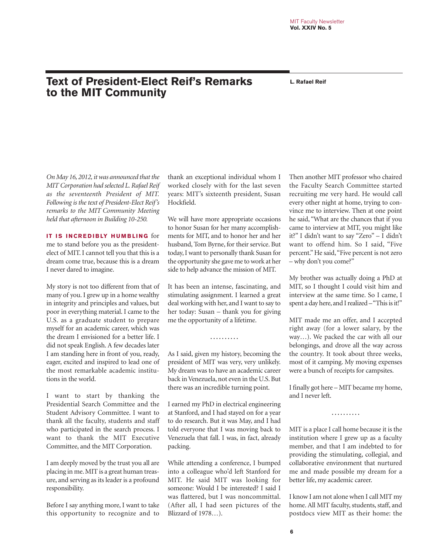# **Text of President-Elect Reif's Remarks** L. Rafael Reif **to the MIT Community**

*On May 16, 2012, it was announced that the MIT Corporation had selected L. Rafael Reif as the seventeenth President of MIT. Following is the text of President-Elect Reif's remarks to the MIT Community Meeting held that afternoon in Building 10-250.*

**IT IS INCREDIBLY HUMBLING** for me to stand before you as the presidentelect of MIT. I cannot tell you that this is a dream come true, because this is a dream I never dared to imagine.

My story is not too different from that of many of you. I grew up in a home wealthy in integrity and principles and values, but poor in everything material. I came to the U.S. as a graduate student to prepare myself for an academic career, which was the dream I envisioned for a better life. I did not speak English. A few decades later I am standing here in front of you, ready, eager, excited and inspired to lead one of the most remarkable academic institutions in the world.

I want to start by thanking the Presidential Search Committee and the Student Advisory Committee. I want to thank all the faculty, students and staff who participated in the search process. I want to thank the MIT Executive Committee, and the MIT Corporation.

I am deeply moved by the trust you all are placing in me. MIT is a great human treasure, and serving as its leader is a profound responsibility.

Before I say anything more, I want to take this opportunity to recognize and to

thank an exceptional individual whom I worked closely with for the last seven years: MIT's sixteenth president, Susan Hockfield.

We will have more appropriate occasions to honor Susan for her many accomplishments for MIT, and to honor her and her husband, Tom Byrne, for their service. But today, I want to personally thank Susan for the opportunity she gave me to work at her side to help advance the mission of MIT.

It has been an intense, fascinating, and stimulating assignment. I learned a great deal working with her, and I want to say to her today: Susan – thank you for giving me the opportunity of a lifetime.

As I said, given my history, becoming the president of MIT was very, very unlikely. My dream was to have an academic career back in Venezuela, not even in the U.S. But there was an incredible turning point.

**. . . . . . . . . .**

I earned my PhD in electrical engineering at Stanford, and I had stayed on for a year to do research. But it was May, and I had told everyone that I was moving back to Venezuela that fall. I was, in fact, already packing.

While attending a conference, I bumped into a colleague who'd left Stanford for MIT. He said MIT was looking for someone: Would I be interested? I said I was flattered, but I was noncommittal. (After all, I had seen pictures of the Blizzard of 1978…).

Then another MIT professor who chaired the Faculty Search Committee started recruiting me very hard. He would call every other night at home, trying to convince me to interview. Then at one point he said, "What are the chances that if you came to interview at MIT, you might like it?" I didn't want to say "Zero" – I didn't want to offend him. So I said, "Five percent." He said, "Five percent is not zero – why don't you come?"

My brother was actually doing a PhD at MIT, so I thought I could visit him and interview at the same time. So I came, I spent a day here, and I realized – "This is it!"

MIT made me an offer, and I accepted right away (for a lower salary, by the way…). We packed the car with all our belongings, and drove all the way across the country. It took about three weeks, most of it camping. My moving expenses were a bunch of receipts for campsites.

I finally got here – MIT became my home, and I never left.

**. . . . . . . . . .**

MIT is a place I call home because it is the institution where I grew up as a faculty member, and that I am indebted to for providing the stimulating, collegial, and collaborative environment that nurtured me and made possible my dream for a better life, my academic career.

I know I am not alone when I call MIT my home. All MIT faculty, students, staff, and postdocs view MIT as their home: the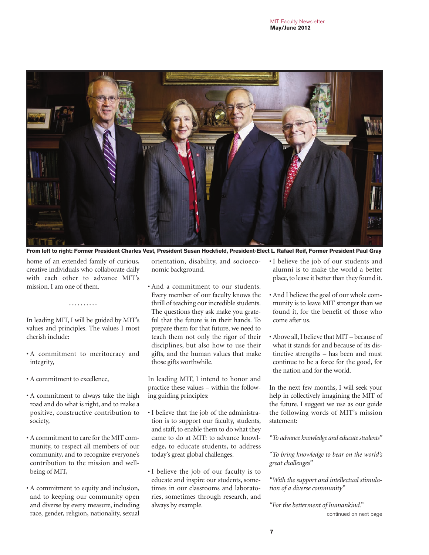

**From left to right: Former President Charles Vest, President Susan Hockfield, President-Elect L. Rafael Reif, Former President Paul Gray**

home of an extended family of curious, creative individuals who collaborate daily with each other to advance MIT's mission. I am one of them.

In leading MIT, I will be guided by MIT's values and principles. The values I most cherish include:

**. . . . . . . . . .**

- A commitment to meritocracy and integrity,
- A commitment to excellence,
- A commitment to always take the high road and do what is right, and to make a positive, constructive contribution to society,
- A commitment to care for the MIT community, to respect all members of our community, and to recognize everyone's contribution to the mission and wellbeing of MIT,
- A commitment to equity and inclusion, and to keeping our community open and diverse by every measure, including race, gender, religion, nationality, sexual

orientation, disability, and socioeconomic background.

• And a commitment to our students. Every member of our faculty knows the thrill of teaching our incredible students. The questions they ask make you grateful that the future is in their hands. To prepare them for that future, we need to teach them not only the rigor of their disciplines, but also how to use their gifts, and the human values that make those gifts worthwhile.

In leading MIT, I intend to honor and practice these values – within the following guiding principles:

- I believe that the job of the administration is to support our faculty, students, and staff, to enable them to do what they came to do at MIT: to advance knowledge, to educate students, to address today's great global challenges.
- I believe the job of our faculty is to educate and inspire our students, sometimes in our classrooms and laboratories, sometimes through research, and always by example.
- I believe the job of our students and alumni is to make the world a better place, to leave it better than they found it.
- And I believe the goal of our whole community is to leave MIT stronger than we found it, for the benefit of those who come after us.
- Above all, I believe that MIT because of what it stands for and because of its distinctive strengths – has been and must continue to be a force for the good, for the nation and for the world.

In the next few months, I will seek your help in collectively imagining the MIT of the future. I suggest we use as our guide the following words of MIT's mission statement:

*"To advance knowledge and educate students"* 

*"To bring knowledge to bear on the world's great challenges"*

*"With the support and intellectual stimulation of a diverse community"* 

*"For the betterment of humankind."*  continued on next page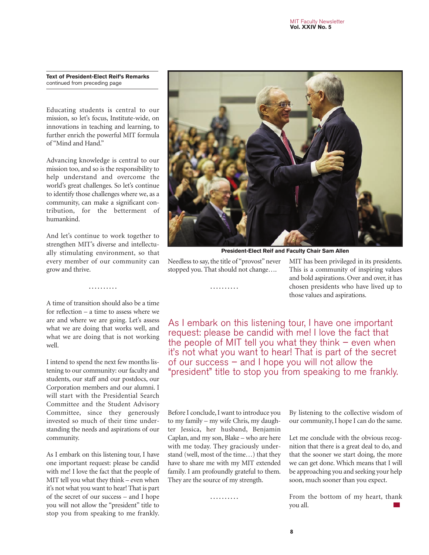**Text of President-Elect Reif's Remarks** continued from preceding page

Educating students is central to our mission, so let's focus, Institute-wide, on innovations in teaching and learning, to further enrich the powerful MIT formula of "Mind and Hand."

Advancing knowledge is central to our mission too, and so is the responsibility to help understand and overcome the world's great challenges. So let's continue to identify those challenges where we, as a community, can make a significant contribution, for the betterment of humankind.

And let's continue to work together to strengthen MIT's diverse and intellectually stimulating environment, so that every member of our community can grow and thrive.

**. . . . . . . . . .**

A time of transition should also be a time for reflection – a time to assess where we are and where we are going. Let's assess what we are doing that works well, and what we are doing that is not working well.

I intend to spend the next few months listening to our community: our faculty and students, our staff and our postdocs, our Corporation members and our alumni. I will start with the Presidential Search Committee and the Student Advisory Committee, since they generously invested so much of their time understanding the needs and aspirations of our community.

As I embark on this listening tour, I have one important request: please be candid with me! I love the fact that the people of MIT tell you what they think – even when it's not what you want to hear! That is part of the secret of our success – and I hope you will not allow the "president" title to stop you from speaking to me frankly.



**President-Elect Reif and Faculty Chair Sam Allen**

Needless to say, the title of "provost" never stopped you. That should not change….

**. . . . . . . . . .**

MIT has been privileged in its presidents. This is a community of inspiring values and bold aspirations. Over and over, it has chosen presidents who have lived up to those values and aspirations.

As I embark on this listening tour, I have one important request: please be candid with me! I love the fact that the people of MIT tell you what they think  $-$  even when it's not what you want to hear! That is part of the secret of our success – and I hope you will not allow the "president" title to stop you from speaking to me frankly.

Before I conclude, I want to introduce you to my family – my wife Chris, my daughter Jessica, her husband, Benjamin Caplan, and my son, Blake – who are here with me today. They graciously understand (well, most of the time…) that they have to share me with my MIT extended family. I am profoundly grateful to them. They are the source of my strength.

**. . . . . . . . . .**

By listening to the collective wisdom of our community, I hope I can do the same.

Let me conclude with the obvious recognition that there is a great deal to do, and that the sooner we start doing, the more we can get done. Which means that I will be approaching you and seeking your help soon, much sooner than you expect.

From the bottom of my heart, thank you all.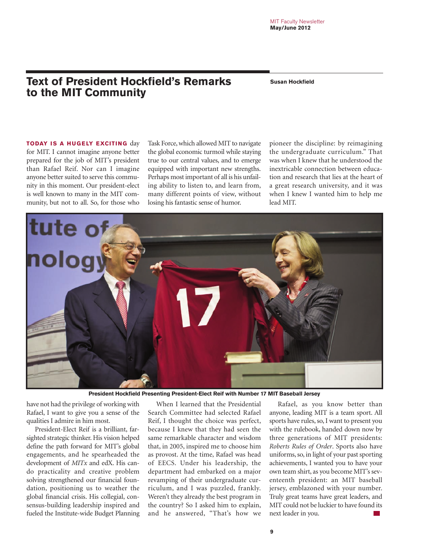# **Text of President Hockfield's Remarks** Susan Hockfield **to the MIT Community**

**TODAY IS A HUGELY EXCITING day** for MIT. I cannot imagine anyone better prepared for the job of MIT's president than Rafael Reif. Nor can I imagine anyone better suited to serve this community in this moment. Our president-elect is well known to many in the MIT com-

munity, but not to all. So, for those who

Task Force, which allowed MIT to navigate the global economic turmoil while staying true to our central values, and to emerge equipped with important new strengths. Perhaps most important of all is his unfailing ability to listen to, and learn from, many different points of view, without losing his fantastic sense of humor.

pioneer the discipline: by reimagining the undergraduate curriculum." That was when I knew that he understood the inextricable connection between education and research that lies at the heart of a great research university, and it was when I knew I wanted him to help me lead MIT.



**President Hockfield Presenting President-Elect Reif with Number 17 MIT Baseball Jersey**

have not had the privilege of working with Rafael, I want to give you a sense of the qualities I admire in him most.

President-Elect Reif is a brilliant, farsighted strategic thinker. His vision helped define the path forward for MIT's global engagements, and he spearheaded the development of *MITx* and edX. His cando practicality and creative problem solving strengthened our financial foundation, positioning us to weather the global financial crisis. His collegial, consensus-building leadership inspired and fueled the Institute-wide Budget Planning

When I learned that the Presidential Search Committee had selected Rafael Reif, I thought the choice was perfect, because I knew that they had seen the same remarkable character and wisdom that, in 2005, inspired me to choose him as provost. At the time, Rafael was head of EECS. Under his leadership, the department had embarked on a major revamping of their undergraduate curriculum, and I was puzzled, frankly. Weren't they already the best program in the country? So I asked him to explain, and he answered, "That's how we

Rafael, as you know better than anyone, leading MIT is a team sport. All sports have rules, so, I want to present you with the rulebook, handed down now by three generations of MIT presidents: *Roberts Rules of Order*. Sports also have uniforms, so, in light of your past sporting achievements, I wanted you to have your own team shirt, as you become MIT's seventeenth president: an MIT baseball jersey, emblazoned with your number. Truly great teams have great leaders, and MIT could not be luckier to have found its next leader in you.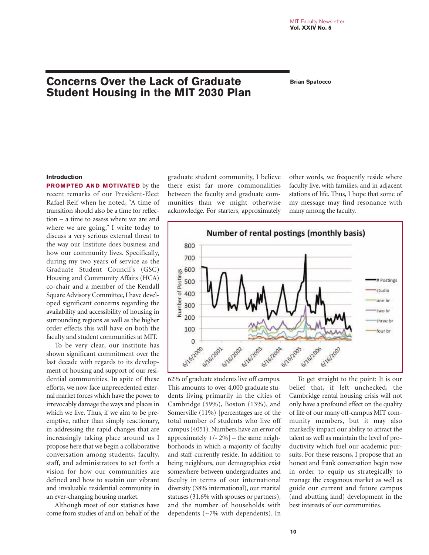# **Concerns Over the Lack of Graduate Brian Spatocco Student Housing in the MIT 2030 Plan**

#### **Introduction**

**PROMPTED AND MOTIVATED** by the recent remarks of our President-Elect Rafael Reif when he noted, "A time of transition should also be a time for reflection – a time to assess where we are and where we are going," I write today to discuss a very serious external threat to the way our Institute does business and how our community lives. Specifically, during my two years of service as the Graduate Student Council's (GSC) Housing and Community Affairs (HCA) co-chair and a member of the Kendall Square Advisory Committee, I have developed significant concerns regarding the availability and accessibility of housing in surrounding regions as well as the higher order effects this will have on both the faculty and student communities at MIT.

To be very clear, our institute has shown significant commitment over the last decade with regards to its development of housing and support of our residential communities. In spite of these efforts, we now face unprecedented external market forces which have the power to irrevocably damage the ways and places in which we live. Thus, if we aim to be preemptive, rather than simply reactionary, in addressing the rapid changes that are increasingly taking place around us I propose here that we begin a collaborative conversation among students, faculty, staff, and administrators to set forth a vision for how our communities are defined and how to sustain our vibrant and invaluable residential community in an ever-changing housing market.

Although most of our statistics have come from studies of and on behalf of the

graduate student community, I believe there exist far more commonalities between the faculty and graduate communities than we might otherwise acknowledge. For starters, approximately

other words, we frequently reside where faculty live, with families, and in adjacent stations of life. Thus, I hope that some of my message may find resonance with many among the faculty.



62% of graduate students live off campus. This amounts to over 4,000 graduate students living primarily in the cities of Cambridge (59%), Boston (13%), and Somerville (11%) [percentages are of the total number of students who live off campus (4051). Numbers have an error of approximately  $+/- 2\%$  – the same neighborhoods in which a majority of faculty and staff currently reside. In addition to being neighbors, our demographics exist somewhere between undergraduates and faculty in terms of our international diversity (38% international), our marital statuses (31.6% with spouses or partners), and the number of households with dependents (~7% with dependents). In

To get straight to the point: It is our belief that, if left unchecked, the Cambridge rental housing crisis will not only have a profound effect on the quality of life of our many off-campus MIT community members, but it may also markedly impact our ability to attract the talent as well as maintain the level of productivity which fuel our academic pursuits. For these reasons, I propose that an honest and frank conversation begin now in order to equip us strategically to manage the exogenous market as well as guide our current and future campus (and abutting land) development in the best interests of our communities.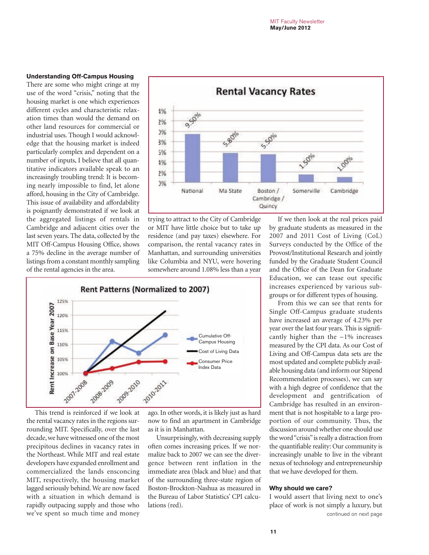#### **Understanding Off-Campus Housing**

There are some who might cringe at my use of the word "crisis," noting that the housing market is one which experiences different cycles and characteristic relaxation times than would the demand on other land resources for commercial or industrial uses. Though I would acknowledge that the housing market is indeed particularly complex and dependent on a number of inputs, I believe that all quantitative indicators available speak to an increasingly troubling trend: It is becoming nearly impossible to find, let alone afford, housing in the City of Cambridge. This issue of availability and affordability is poignantly demonstrated if we look at the aggregated listings of rentals in Cambridge and adjacent cities over the last seven years. The data, collected by the MIT Off-Campus Housing Office, shows a 75% decline in the average number of listings from a constant monthly sampling of the rental agencies in the area.



trying to attract to the City of Cambridge or MIT have little choice but to take up residence (and pay taxes) elsewhere. For comparison, the rental vacancy rates in Manhattan, and surrounding universities like Columbia and NYU, were hovering somewhere around 1.08% less than a year



This trend is reinforced if we look at the rental vacancy rates in the regions surrounding MIT. Specifically, over the last decade, we have witnessed one of the most precipitous declines in vacancy rates in the Northeast. While MIT and real estate developers have expanded enrollment and commercialized the lands ensconcing MIT, respectively, the housing market lagged seriously behind. We are now faced with a situation in which demand is rapidly outpacing supply and those who we've spent so much time and money ago. In other words, it is likely just as hard now to find an apartment in Cambridge as it is in Manhattan.

Unsurprisingly, with decreasing supply often comes increasing prices. If we normalize back to 2007 we can see the divergence between rent inflation in the immediate area (black and blue) and that of the surrounding three-state region of Boston-Brockton-Nashua as measured in the Bureau of Labor Statistics' CPI calculations (red).

If we then look at the real prices paid by graduate students as measured in the 2007 and 2011 Cost of Living (CoL) Surveys conducted by the Office of the Provost/Institutional Research and jointly funded by the Graduate Student Council and the Office of the Dean for Graduate Education, we can tease out specific increases experienced by various subgroups or for different types of housing.

From this we can see that rents for Single Off-Campus graduate students have increased an average of 4.23% per year over the last four years. This is significantly higher than the  $\sim$ 1% increases measured by the CPI data. As our Cost of Living and Off-Campus data sets are the most updated and complete publicly available housing data (and inform our Stipend Recommendation processes), we can say with a high degree of confidence that the development and gentrification of Cambridge has resulted in an environment that is not hospitable to a large proportion of our community. Thus, the discussion around whether one should use the word "crisis" is really a distraction from the quantifiable reality: Our community is increasingly unable to live in the vibrant nexus of technology and entrepreneurship that we have developed for them.

#### **Why should we care?**

I would assert that living next to one's place of work is not simply a luxury, but continued on next page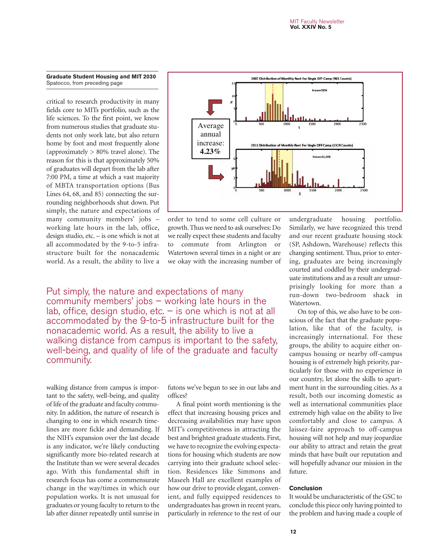#### **Graduate Student Housing and MIT 2030** Spatocco, from preceding page

critical to research productivity in many fields core to MITs portfolio, such as the life sciences. To the first point, we know from numerous studies that graduate students not only work late, but also return home by foot and most frequently alone (approximately  $> 80\%$  travel alone). The reason for this is that approximately 50% of graduates will depart from the lab after 7:00 PM, a time at which a vast majority of MBTA transportation options (Bus Lines 64, 68, and 85) connecting the surrounding neighborhoods shut down. Put simply, the nature and expectations of many community members' jobs – working late hours in the lab, office, design studio, etc. – is one which is not at all accommodated by the 9-to-5 infrastructure built for the nonacademic world. As a result, the ability to live a



order to tend to some cell culture or growth. Thus we need to ask ourselves: Do we really expect these students and faculty to commute from Arlington or Watertown several times in a night or are we okay with the increasing number of

Put simply, the nature and expectations of many community members' jobs  $-$  working late hours in the lab, office, design studio, etc.  $-$  is one which is not at all accommodated by the 9-to-5 infrastructure built for the nonacademic world. As a result, the ability to live a walking distance from campus is important to the safety, well-being, and quality of life of the graduate and faculty community.

walking distance from campus is important to the safety, well-being, and quality of life of the graduate and faculty community. In addition, the nature of research is changing to one in which research timelines are more fickle and demanding. If the NIH's expansion over the last decade is any indicator, we're likely conducting significantly more bio-related research at the Institute than we were several decades ago. With this fundamental shift in research focus has come a commensurate change in the way/times in which our population works. It is not unusual for graduates or young faculty to return to the lab after dinner repeatedly until sunrise in futons we've begun to see in our labs and offices?

A final point worth mentioning is the effect that increasing housing prices and decreasing availabilities may have upon MIT's competitiveness in attracting the best and brightest graduate students. First, we have to recognize the evolving expectations for housing which students are now carrying into their graduate school selection. Residences like Simmons and Maseeh Hall are excellent examples of how our drive to provide elegant, convenient, and fully equipped residences to undergraduates has grown in recent years, particularly in reference to the rest of our

undergraduate housing portfolio. Similarly, we have recognized this trend and our recent graduate housing stock (SP, Ashdown, Warehouse) reflects this changing sentiment. Thus, prior to entering, graduates are being increasingly courted and coddled by their undergraduate institutions and as a result are unsurprisingly looking for more than a run-down two-bedroom shack in Watertown.

On top of this, we also have to be conscious of the fact that the graduate population, like that of the faculty, is increasingly international. For these groups, the ability to acquire either oncampus housing or nearby off-campus housing is of extremely high priority, particularly for those with no experience in our country, let alone the skills to apartment hunt in the surrounding cities. As a result, both our incoming domestic as well as international communities place extremely high value on the ability to live comfortably and close to campus. A laissez-faire approach to off-campus housing will not help and may jeopardize our ability to attract and retain the great minds that have built our reputation and will hopefully advance our mission in the future.

#### **Conclusion**

It would be uncharacteristic of the GSC to conclude this piece only having pointed to the problem and having made a couple of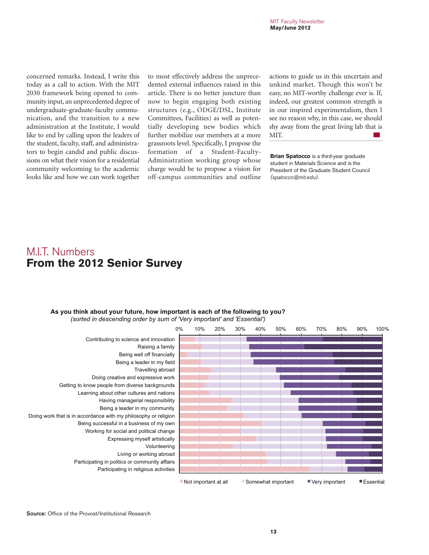concerned remarks. Instead, I write this today as a call to action. With the MIT 2030 framework being opened to community input, an unprecedented degree of undergraduate-graduate-faculty communication, and the transition to a new administration at the Institute, I would like to end by calling upon the leaders of the student, faculty, staff, and administrators to begin candid and public discussions on what their vision for a residential community welcoming to the academic looks like and how we can work together to most effectively address the unprecedented external influences raised in this article. There is no better juncture than now to begin engaging both existing structures (e.g., ODGE/DSL, Institute Committees, Facilities) as well as potentially developing new bodies which further mobilize our members at a more grassroots level. Specifically, I propose the formation of a Student-Faculty-Administration working group whose charge would be to propose a vision for off-campus communities and outline

actions to guide us in this uncertain and unkind market. Though this won't be easy, no MIT-worthy challenge ever is. If, indeed, our greatest common strength is in our inspired experimentalism, then I see no reason why, in this case, we should shy away from the great living lab that is MIT.  $\sim$ 

**Brian Spatocco** is a third-year graduate student in Materials Science and is the President of the Graduate Student Council (spatocco@mit.edu).

# MIT. Numbers **From the 2012 Senior Survey**

#### **As you think about your future, how important is each of the following to you?**

*(sorted in descending order by sum of 'Very important' and 'Essential')* 

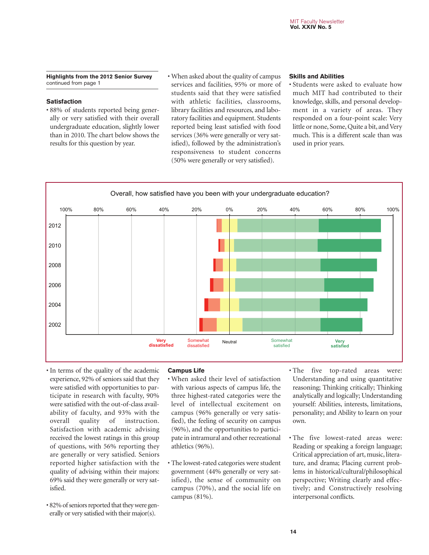**Highlights from the 2012 Senior Survey** continued from page 1

#### **Satisfaction**

• 88% of students reported being generally or very satisfied with their overall undergraduate education, slightly lower than in 2010. The chart below shows the results for this question by year.

• When asked about the quality of campus services and facilities, 95% or more of students said that they were satisfied with athletic facilities, classrooms, library facilities and resources, and laboratory facilities and equipment. Students reported being least satisfied with food services (36% were generally or very satisfied), followed by the administration's responsiveness to student concerns (50% were generally or very satisfied).

#### **Skills and Abilities**

• Students were asked to evaluate how much MIT had contributed to their knowledge, skills, and personal development in a variety of areas. They responded on a four-point scale: Very little or none, Some, Quite a bit, and Very much. This is a different scale than was used in prior years.



- In terms of the quality of the academic experience, 92% of seniors said that they were satisfied with opportunities to participate in research with faculty, 90% were satisfied with the out-of-class availability of faculty, and 93% with the overall quality of instruction. Satisfaction with academic advising received the lowest ratings in this group of questions, with 56% reporting they are generally or very satisfied. Seniors reported higher satisfaction with the quality of advising within their majors: 69% said they were generally or very satisfied.
- 82% of seniors reported that they were generally or very satisfied with their major(s).

#### **Campus Life**

- When asked their level of satisfaction with various aspects of campus life, the three highest-rated categories were the level of intellectual excitement on campus (96% generally or very satisfied), the feeling of security on campus (96%), and the opportunities to participate in intramural and other recreational athletics (96%).
- The lowest-rated categories were student government (44% generally or very satisfied), the sense of community on campus (70%), and the social life on campus (81%).
- The five top-rated areas were: Understanding and using quantitative reasoning; Thinking critically; Thinking analytically and logically; Understanding yourself: Abilities, interests, limitations, personality; and Ability to learn on your own.
- The five lowest-rated areas were: Reading or speaking a foreign language; Critical appreciation of art, music, literature, and drama; Placing current problems in historical/cultural/philosophical perspective; Writing clearly and effectively; and Constructively resolving interpersonal conflicts.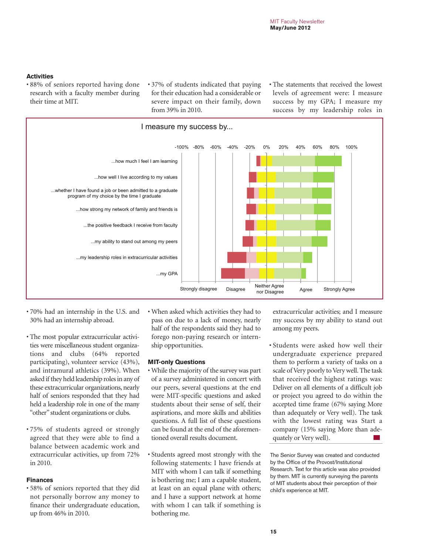#### **Activities**

- 88% of seniors reported having done research with a faculty member during their time at MIT.
- 37% of students indicated that paying for their education had a considerable or severe impact on their family, down from 39% in 2010.
- The statements that received the lowest levels of agreement were: I measure success by my GPA; I measure my success by my leadership roles in



- 70% had an internship in the U.S. and 30% had an internship abroad.
- The most popular extracurricular activities were miscellaneous student organizations and clubs (64% reported participating), volunteer service (43%), and intramural athletics (39%). When asked if they held leadership roles in any of these extracurricular organizations, nearly half of seniors responded that they had held a leadership role in one of the many "other" student organizations or clubs.
- 75% of students agreed or strongly agreed that they were able to find a balance between academic work and extracurricular activities, up from 72% in 2010.

#### **Finances**

• 58% of seniors reported that they did not personally borrow any money to finance their undergraduate education, up from 46% in 2010.

• When asked which activities they had to pass on due to a lack of money, nearly half of the respondents said they had to forego non-paying research or internship opportunities.

#### **MIT-only Questions**

- While the majority of the survey was part of a survey administered in concert with our peers, several questions at the end were MIT-specific questions and asked students about their sense of self, their aspirations, and more skills and abilities questions. A full list of these questions can be found at the end of the aforementioned overall results document.
- Students agreed most strongly with the following statements: I have friends at MIT with whom I can talk if something is bothering me; I am a capable student, at least on an equal plane with others; and I have a support network at home with whom I can talk if something is bothering me.

extracurricular activities; and I measure my success by my ability to stand out among my peers.

• Students were asked how well their undergraduate experience prepared them to perform a variety of tasks on a scale of Very poorly to Very well. The task that received the highest ratings was: Deliver on all elements of a difficult job or project you agreed to do within the accepted time frame (67% saying More than adequately or Very well). The task with the lowest rating was Start a company (15% saying More than adequately or Very well).

The Senior Survey was created and conducted by the Office of the Provost/Institutional Research. Text for this article was also provided by them. MIT is currently surveying the parents of MIT students about their perception of their child's experience at MIT.